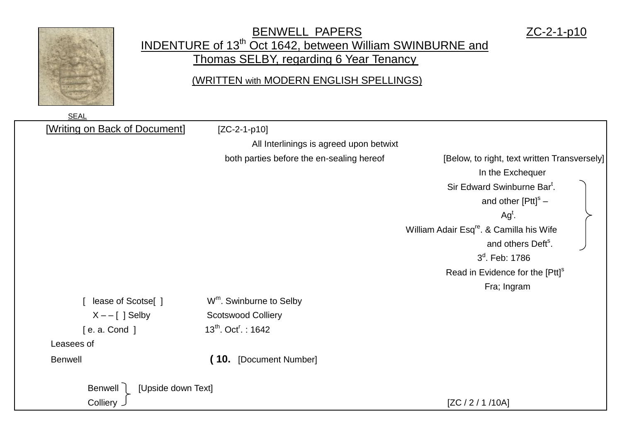

## BENWELL PAPERS ZC-2-1-p10 INDENTURE of 13<sup>th</sup> Oct 1642, between William SWINBURNE and Thomas SELBY, regarding 6 Year Tenancy

## (WRITTEN with MODERN ENGLISH SPELLINGS)

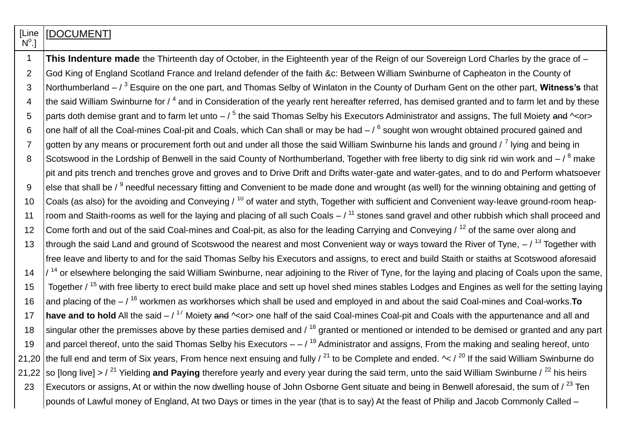| [Line<br>$N^{\circ}$ .] | [DOCUMENT]                                                                                                                                                           |
|-------------------------|----------------------------------------------------------------------------------------------------------------------------------------------------------------------|
| $\mathbf 1$             | This Indenture made the Thirteenth day of October, in the Eighteenth year of the Reign of our Sovereign Lord Charles by the grace of -                               |
| 2                       | God King of England Scotland France and Ireland defender of the faith &c: Between William Swinburne of Capheaton in the County of                                    |
| 3                       | Northumberland $-73$ Esquire on the one part, and Thomas Selby of Winlaton in the County of Durham Gent on the other part, Witness's that                            |
| $\overline{4}$          | the said William Swinburne for $/4$ and in Consideration of the yearly rent hereafter referred, has demised granted and to farm let and by these                     |
| 5                       | parts doth demise grant and to farm let unto $-75$ the said Thomas Selby his Executors Administrator and assigns, The full Moiety and $\sim$ or>                     |
| 6                       | one half of all the Coal-mines Coal-pit and Coals, which Can shall or may be had $-7^6$ sought won wrought obtained procured gained and                              |
| $\overline{7}$          | gotten by any means or procurement forth out and under all those the said William Swinburne his lands and ground / <sup>7</sup> lying and being in                   |
| 8                       | Scotswood in the Lordship of Benwell in the said County of Northumberland, Together with free liberty to dig sink rid win work and $-\frac{8}{9}$ make               |
|                         | pit and pits trench and trenches grove and groves and to Drive Drift and Drifts water-gate and water-gates, and to do and Perform whatsoever                         |
| 9                       | else that shall be / <sup>9</sup> needful necessary fitting and Convenient to be made done and wrought (as well) for the winning obtaining and getting of            |
| 10                      | Coals (as also) for the avoiding and Conveying / <sup>10</sup> of water and styth, Together with sufficient and Convenient way-leave ground-room heap-               |
| 11                      | room and Staith-rooms as well for the laying and placing of all such Coals $-7^{11}$ stones sand gravel and other rubbish which shall proceed and                    |
| 12                      | Come forth and out of the said Coal-mines and Coal-pit, as also for the leading Carrying and Conveying / <sup>12</sup> of the same over along and                    |
| 13                      | through the said Land and ground of Scotswood the nearest and most Convenient way or ways toward the River of Tyne, $-$ / <sup>13</sup> Together with                |
|                         | free leave and liberty to and for the said Thomas Selby his Executors and assigns, to erect and build Staith or staiths at Scotswood aforesaid                       |
| 14                      | $/$ <sup>14</sup> or elsewhere belonging the said William Swinburne, near adjoining to the River of Tyne, for the laying and placing of Coals upon the same,         |
| 15                      | Together / <sup>15</sup> with free liberty to erect build make place and sett up hovel shed mines stables Lodges and Engines as well for the setting laying          |
| 16                      | and placing of the $-7^{16}$ workmen as workhorses which shall be used and employed in and about the said Coal-mines and Coal-works. To                              |
| 17                      | have and to hold All the said $-$ / $17$ Moiety and $\sim$ or> one half of the said Coal-mines Coal-pit and Coals with the appurtenance and all and                  |
| 18                      | singular other the premisses above by these parties demised and / 18 granted or mentioned or intended to be demised or granted and any part                          |
| 19                      | and parcel thereof, unto the said Thomas Selby his Executors $-$ / $^{19}$ Administrator and assigns, From the making and sealing hereof, unto                       |
| 21,20                   | the full end and term of Six years, From hence next ensuing and fully / $^{21}$ to be Complete and ended. $\sim$ / $^{20}$ If the said William Swinburne do          |
| 21,22                   | so [long live] > / <sup>21</sup> Yielding and Paying therefore yearly and every year during the said term, unto the said William Swinburne / <sup>22</sup> his heirs |
| 23                      | Executors or assigns, At or within the now dwelling house of John Osborne Gent situate and being in Benwell aforesaid, the sum of $\sqrt{23}$ Ten                    |
|                         | pounds of Lawful money of England, At two Days or times in the year (that is to say) At the feast of Philip and Jacob Commonly Called –                              |

T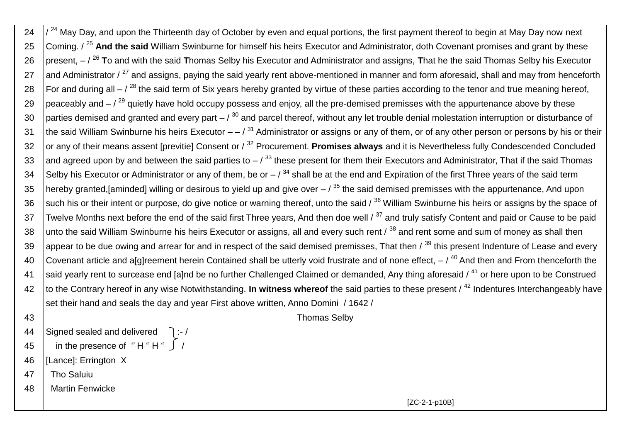$24$   $\frac{1}{24}$  May Day, and upon the Thirteenth day of October by even and equal portions, the first payment thereof to begin at May Day now next 25 Coming. / <sup>25</sup> And the said William Swinburne for himself his heirs Executor and Administrator, doth Covenant promises and grant by these 26 present, – / <sup>26</sup> **T**o and with the said **T**homas Selby his Executor and Administrator and assigns, **T**hat he the said Thomas Selby his Executor 27 and Administrator  $\ell^{27}$  and assigns, paving the said yearly rent above-mentioned in manner and form aforesaid, shall and may from henceforth 28  $\vert$ For and during all – / <sup>28</sup> the said term of Six years hereby granted by virtue of these parties according to the tenor and true meaning hereof, 29  $\frac{1}{2}$  peaceably and  $-\frac{1}{29}$  quietly have hold occupy possess and enjoy, all the pre-demised premisses with the appurtenance above by these 30 parties demised and granted and every part  $-1^{30}$  and parcel thereof, without any let trouble denial molestation interruption or disturbance of 31 the said William Swinburne his heirs Executor  $-$  /  $31$  Administrator or assigns or any of them, or of any other person or persons by his or their 32 or any of their means assent [previtie] Consent or /<sup>32</sup> Procurement. **Promises always** and it is Nevertheless fully Condescended Concluded 33 and agreed upon by and between the said parties to  $-$  /  $^{33}$  these present for them their Executors and Administrator, That if the said Thomas 34 Selby his Executor or Administrator or any of them, be or  $-$  /  $^{34}$  shall be at the end and Expiration of the first Three years of the said term 35 hereby granted, [aminded] willing or desirous to yield up and give over  $/$ <sup>35</sup> the said demised premisses with the appurtenance, And upon 36 such his or their intent or purpose, do give notice or warning thereof, unto the said  $\beta^{36}$  William Swinburne his heirs or assigns by the space of 37 Twelve Months next before the end of the said first Three years. And then doe well  $\beta$ <sup>37</sup> and truly satisfy Content and paid or Cause to be paid 38 unto the said William Swinburne his heirs Executor or assigns, all and every such rent  $\beta^{38}$  and rent some and sum of money as shall then 39 appear to be due owing and arrear for and in respect of the said demised premisses. That then  $\beta^{39}$  this present Indenture of Lease and every 40 Covenant article and a[g]reement herein Contained shall be utterly void frustrate and of none effect,  $-7^{40}$  And then and From thenceforth the 41 Said yearly rent to surcease end [a]nd be no further Challenged Claimed or demanded. Any thing aforesaid / <sup>41</sup> or here upon to be Construed 42 to the Contrary hereof in any wise Notwithstanding. **In witness whereof** the said parties to these present / <sup>42</sup> Indentures Interchangeably have set their hand and seals the day and year First above written, Anno Domini  $/1642/$ 43 Thomas Selby

- 
- 44 Signed sealed and delivered  $\exists$  :-/
- 45 in the presence of  $H'' + H''$
- 46 [Lance]: Errington X
- 47 | Tho Saluiu
- 48 Martin Fenwicke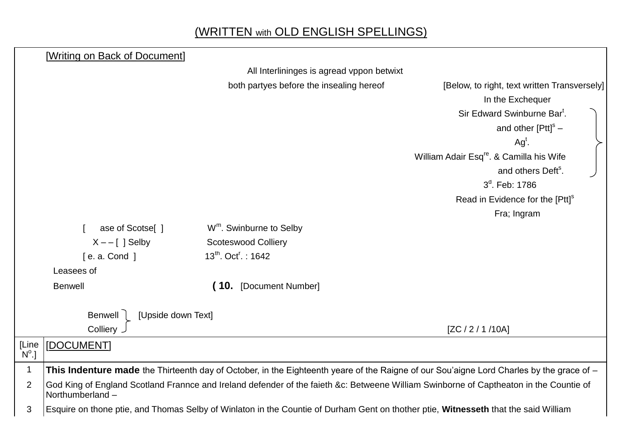## (WRITTEN with OLD ENGLISH SPELLINGS)

|                         | [Writing on Back of Document] |                                                                                                                                          |                                                      |  |  |
|-------------------------|-------------------------------|------------------------------------------------------------------------------------------------------------------------------------------|------------------------------------------------------|--|--|
|                         |                               | All Interlininges is agread vppon betwixt                                                                                                |                                                      |  |  |
|                         |                               | both partyes before the insealing hereof                                                                                                 | [Below, to right, text written Transversely]         |  |  |
|                         |                               |                                                                                                                                          | In the Exchequer                                     |  |  |
|                         |                               |                                                                                                                                          | Sir Edward Swinburne Bar <sup>t</sup> .              |  |  |
|                         |                               |                                                                                                                                          | and other $[PtI]^{s}$ –                              |  |  |
|                         |                               |                                                                                                                                          | $Agt$ .                                              |  |  |
|                         |                               |                                                                                                                                          | William Adair Esq <sup>re</sup> . & Camilla his Wife |  |  |
|                         |                               |                                                                                                                                          | and others Deft <sup>s</sup> .                       |  |  |
|                         |                               |                                                                                                                                          | $3d$ . Feb: 1786                                     |  |  |
|                         |                               |                                                                                                                                          | Read in Evidence for the [Ptt] <sup>s</sup>          |  |  |
|                         |                               |                                                                                                                                          | Fra; Ingram                                          |  |  |
|                         | ase of Scotse[]               | W <sup>m</sup> . Swinburne to Selby                                                                                                      |                                                      |  |  |
|                         | $X - - \lceil$ ] Selby        | <b>Scoteswood Colliery</b>                                                                                                               |                                                      |  |  |
|                         | [e. a. Cond]                  | $13^{th}$ . Oct <sup>r</sup> .: 1642                                                                                                     |                                                      |  |  |
|                         | Leasees of                    |                                                                                                                                          |                                                      |  |  |
|                         | <b>Benwell</b>                | (10. [Document Number]                                                                                                                   |                                                      |  |  |
|                         | Benwell<br>[Upside down Text] |                                                                                                                                          |                                                      |  |  |
|                         | Colliery J                    |                                                                                                                                          | [ZC / 2 / 1 / 10A]                                   |  |  |
| [Line<br>$N^{\circ}$ .] | [DOCUMENT]                    |                                                                                                                                          |                                                      |  |  |
| 1                       |                               | This Indenture made the Thirteenth day of October, in the Eighteenth yeare of the Raigne of our Sou'aigne Lord Charles by the grace of - |                                                      |  |  |
| $\overline{2}$          | Northumberland -              | God King of England Scotland Frannce and Ireland defender of the faieth &c: Betweene William Swinborne of Captheaton in the Countie of   |                                                      |  |  |
| 3                       |                               | Esquire on thone ptie, and Thomas Selby of Winlaton in the Countie of Durham Gent on thother ptie, Witnesseth that the said William      |                                                      |  |  |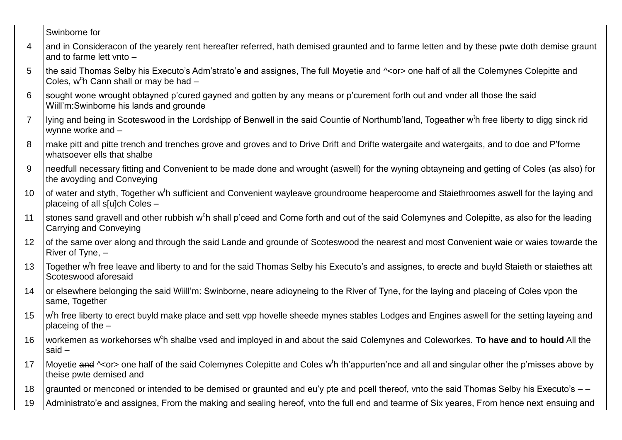Swinborne for

- 4 and in Consideracon of the yearely rent hereafter referred, hath demised graunted and to farme letten and by these pwte doth demise graunt and to farme lett vnto –
- 5 the said Thomas Selby his Executo's Adm'strato'e and assignes, The full Moyetie and  $\sim$ or> one half of all the Colemynes Colepitte and Coles, w<sup>c</sup>h Cann shall or may be had -
- 6 sought wone wrought obtayned p'cured gayned and gotten by any means or p'curement forth out and vnder all those the said Wiill'm:Swinborne his lands and grounde
- 7 | lying and being in Scoteswood in the Lordshipp of Benwell in the said Countie of Northumb'land, Togeather w<sup>t</sup>h free liberty to digg sinck rid wynne worke and –
- 8 make pitt and pitte trench and trenches grove and groves and to Drive Drift and Drifte watergaite and watergaits, and to doe and P'forme whatsoever ells that shalbe
- 9 needfull necessary fitting and Convenient to be made done and wrought (aswell) for the wyning obtayneing and getting of Coles (as also) for the avoyding and Conveying
- 10 of water and styth, Together w<sup>t</sup>h sufficient and Convenient wayleave groundroome heaperoome and Staiethroomes aswell for the laying and placeing of all s[u]ch Coles –
- 11 Stones sand gravell and other rubbish w<sup>c</sup>h shall p'ceed and Come forth and out of the said Colemynes and Colepitte, as also for the leading Carrying and Conveying
- 12 of the same over along and through the said Lande and grounde of Scoteswood the nearest and most Convenient waie or waies towarde the River of Tyne, –
- 13 | Together w<sup>t</sup>h free leave and liberty to and for the said Thomas Selby his Executo's and assignes, to erecte and buyld Staieth or staiethes att Scoteswood aforesaid
- 14 or elsewhere belonging the said Wiill'm: Swinborne, neare adioyneing to the River of Tyne, for the laying and placeing of Coles vpon the same, Together
- 15 | w<sup>t</sup>h free liberty to erect buyld make place and sett vpp hovelle sheede mynes stables Lodges and Engines aswell for the setting layeing and placeing of the –
- 16 | workemen as workehorses w<sup>c</sup>h shalbe vsed and imployed in and about the said Colemynes and Coleworkes. **To have and to hould** All the said –
- 17 | Moyetie and ^<or> one half of the said Colemynes Colepitte and Coles w<sup>t</sup>h th'appurten'nce and all and singular other the p'misses above by theise pwte demised and
- 18 graunted or menconed or intended to be demised or graunted and eu'y pte and pcell thereof, vnto the said Thomas Selby his Executo's  $-$
- 19 Administrato'e and assignes, From the making and sealing hereof, vnto the full end and tearme of Six yeares, From hence next ensuing and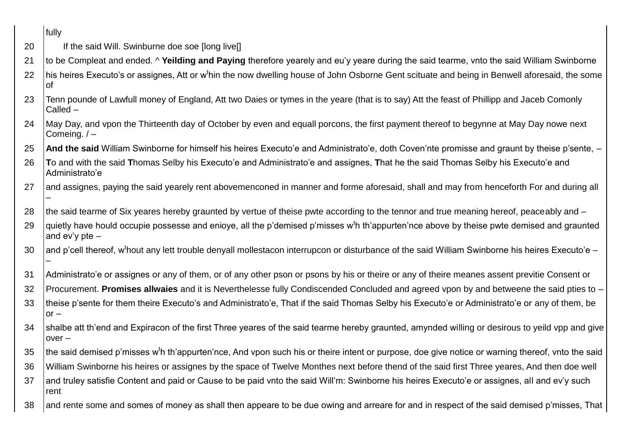|    | fully                                                                                                                                                                       |
|----|-----------------------------------------------------------------------------------------------------------------------------------------------------------------------------|
| 20 | If the said Will. Swinburne doe soe [long live]]                                                                                                                            |
| 21 | to be Compleat and ended. ^ Yeilding and Paying therefore yearely and eu'y yeare during the said tearme, vnto the said William Swinborne                                    |
| 22 | his heires Executo's or assignes, Att or w <sup>t</sup> hin the now dwelling house of John Osborne Gent scituate and being in Benwell aforesaid, the some<br>lof            |
| 23 | Tenn pounde of Lawfull money of England, Att two Daies or tymes in the yeare (that is to say) Att the feast of Phillipp and Jaceb Comonly<br>$Called -$                     |
| 24 | May Day, and vpon the Thirteenth day of October by even and equall porcons, the first payment thereof to begynne at May Day nowe next<br>Comeing. $/ -$                     |
| 25 | And the said William Swinborne for himself his heires Executo'e and Administrato'e, doth Coven'nte promisse and graunt by theise p'sente, -                                 |
| 26 | To and with the said Thomas Selby his Executo'e and Administrato'e and assignes, That he the said Thomas Selby his Executo'e and<br>Administrato'e                          |
| 27 | and assignes, paying the said yearely rent abovemenconed in manner and forme aforesaid, shall and may from henceforth For and during all                                    |
| 28 | the said tearme of Six yeares hereby graunted by vertue of theise pwte according to the tennor and true meaning hereof, peaceably and -                                     |
| 29 | quietly have hould occupie possesse and enioye, all the p'demised p'misses w <sup>t</sup> h th'appurten'nce above by theise pwte demised and graunted<br>and $ev'y$ pte $-$ |
| 30 | and p'cell thereof, w <sup>t</sup> hout any lett trouble denyall mollestacon interrupcon or disturbance of the said William Swinborne his heires Executo'e –                |
| 31 | Administrato'e or assignes or any of them, or of any other pson or psons by his or theire or any of theire meanes assent previtie Consent or                                |
| 32 | Procurement. Promises allwaies and it is Neverthelesse fully Condiscended Concluded and agreed vpon by and betweene the said pties to -                                     |
| 33 | theise p'sente for them theire Executo's and Administrato'e, That if the said Thomas Selby his Executo'e or Administrato'e or any of them, be<br>$or -$                     |
| 34 | shalbe att th'end and Expiracon of the first Three yeares of the said tearme hereby graunted, amynded willing or desirous to yeild vpp and give<br>$over -$                 |
| 35 | the said demised p'misses w <sup>t</sup> h th'appurten'nce, And vpon such his or theire intent or purpose, doe give notice or warning thereof, vnto the said                |
| 36 | William Swinborne his heires or assignes by the space of Twelve Monthes next before thend of the said first Three yeares, And then doe well                                 |
| 37 | and truley satisfie Content and paid or Cause to be paid vnto the said Will'm: Swinborne his heires Executo'e or assignes, all and ev'y such<br>rent                        |
| 38 | and rente some and somes of money as shall then appeare to be due owing and arreare for and in respect of the said demised p'misses, That                                   |